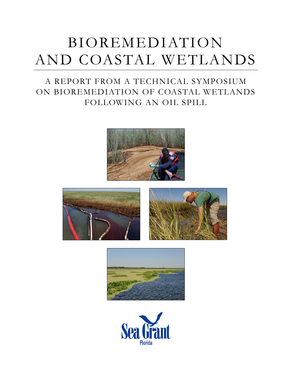# BIOREMEDIATION AND COASTAL WETLANDS

# A REPORT FROM A TECHNICAL SYMPOSIUM ON BIOREMEDIATION OF COASTAL WETLANDS FOLLOWING AN OIL SPILL







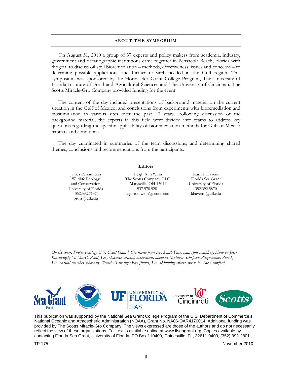#### **ABOUT THE SYMPOSIUM**

On August 31, 2010 a group of 37 experts and policy makers from academia, industry, government and oceanographic institutions came together in Pensacola Beach, Florida with the goal to discuss oil spill bioremediation – methods, effectiveness, issues and concerns – to determine possible applications and further research needed in the Gulf region. This symposium was sponsored by the Florida Sea Grant College Program, The University of Florida Institute of Food and Agricultural Sciences and The University of Cincinnati. The Scotts Miracle-Gro Company provided funding for the event.

The content of the day included presentations of background material on the current situation in the Gulf of Mexico, and conclusions from experiments with bioremediation and biostimulation in various sites over the past 20 years. Following discussion of the background material, the experts in this field were divided into teams to address key questions regarding the specific applicability of bioremediation methods for Gulf of Mexico habitats and conditions.

The day culminated in summaries of the team discussions, and determining shared themes, conclusions and recommendations from the participants.

pross@ufl.edu

**Editors**

James Perran Ross Leigh Ann Winn Karl E. Havens Wildlife Ecology The Scotts Company, LLC. Florida Sea Grant<br>and Conservation Marysville, OH 43041 University of Florida Marysville, OH 43041 University of Florida<br>
937.578.5281 352.392.5870 University of Florida  $937.578.5281$   $352.392.5870$ <br>352.392.7137 leighann.winn@scotts.com khavens@ufl.edu leighann.winn@scotts.com

*On the cover: Photos courtesy U.S. Coast Guard. Clockwise from top: South Pass, La., spill sampling, photo by Jesse Kavanaugh; St. Mary's Point, La., shoreline cleanup assessment, photo by Matthew Schofield; Plaquemines Parish, La., coastal marshes, photo by Timothy Tamargo; Bay Jimmy, La., skimming efforts, photo by Zac Crawford.*



This publication was supported by the National Sea Grant College Program of the U.S. Department of Commerce's National Oceanic and Atmospheric Administration (NOAA), Grant No. NA06-OAR4170014. Additional funding was provided by The Scotts Miracle-Gro Company. The views expressed are those of the authors and do not necessarily reflect the view of these organizations. Full text is available online at www.flseagrant.org. Copies available by contacting Florida Sea Grant, University of Florida, PO Box 110409, Gainesville, FL, 32611-0409, (352) 392-2801.

TP 175 November 2010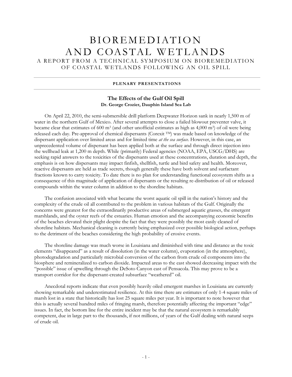# BIOREMEDIATION AND COASTAL WETLANDS

A REPORT FROM A TECHNICAL SYMPOSIUM ON BIOREMEDIATION OF COASTAL WETLANDS FOLLOWING AN OIL SPILL

# **PLENARY PRESENTATIONS**

# **The Effects of the Gulf Oil Spill Dr. George Crozier, Dauphin Island Sea Lab**

On April 22, 2010, the semi-submersible drill platform Deepwater Horizon sank in nearly 1,500 m of water in the northern Gulf of Mexico. After several attempts to close a failed blowout preventer valve, it became clear that estimates of 600 m3 (and other unofficial estimates as high as 4,000 m3) of oil were being released each day. Pre-approval of chemical dispersants (Corexit TM) was made based on knowledge of the dispersant application over limited areas and for limited time *at the sea surface.* However, in this case, an unprecedented volume of dispersant has been applied both at the surface and through direct injection into the wellhead leak at 1,200 m depth. While (primarily) Federal agencies (NOAA, EPA, USCG/DHS) are seeking rapid answers to the toxicities of the dispersants used at these concentrations, duration and depth, the emphasis is on how dispersants may impact finfish, shellfish, turtle and bird safety and health. Moreover, reactive dispersants are held as trade secrets, though generally these have both solvent and surfactant fractions known to carry toxicity. To date there is no plan for understanding functional ecosystem shifts as a consequence of this magnitude of application of dispersants or the resulting re-distribution of oil or released compounds within the water column in addition to the shoreline habitats.

The confusion associated with what became the worst aquatic oil spill in the nation's history and the complexity of the crude oil all contributed to the problem in various habitats of the Gulf. Originally the concerns were greatest for the extraordinarily productive areas of submerged aquatic grasses, the emergent marshlands, and the oyster reefs of the estuaries. Human emotion and the accompanying economic benefits of the beaches elevated their plight despite the fact that they were possibly the most easily cleaned of shoreline habitats. Mechanical cleaning is currently being emphasized over possible biological action, perhaps to the detriment of the beaches considering the high probability of erosive events.

The shoreline damage was much worse in Louisiana and diminished with time and distance as the toxic elements "disappeared" as a result of dissolution (in the water column), evaporation (in the atmosphere), photodegradation and particularly microbial conversion of the carbon from crude oil components into the biosphere and remineralized to carbon dioxide. Impacted areas to the east showed decreasing impact with the "possible" issue of upwelling through the DeSoto Canyon east of Pensacola. This may prove to be a transport corridor for the dispersant-created subsurface "weathered" oil.

Anecdotal reports indicate that even possibly heavily oiled emergent marshes in Louisiana are currently showing remarkable and underestimated resilience. At this time there are estimates of only 1-4 square miles of marsh lost in a state that historically has lost 25 square miles per year. It is important to note however that this is actually several hundred miles of fringing marsh, therefore potentially affecting the important "edge" issues. In fact, the bottom line for the entire incident may be that the natural ecosystem is remarkably competent, due in large part to the thousands, if not millions, of years of the Gulf dealing with natural seeps of crude oil.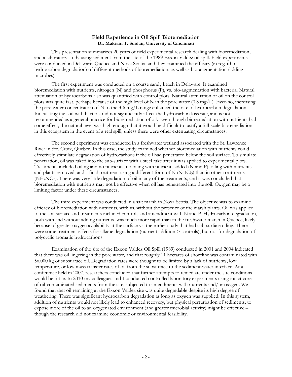# **Field Experience in Oil Spill Bioremediation Dr. Makram T. Suidan, University of Cincinnati**

This presentation summarizes 20 years of field experimental research dealing with bioremediation, and a laboratory study using sediment from the site of the 1989 Exxon Valdez oil spill. Field experiments were conducted in Delaware, Quebec and Nova Scotia, and they examined the efficacy (in regard to hydrocarbon degradation) of different methods of bioremediation, as well as bio-augmentation (adding microbes).

The first experiment was conducted on a coarse sandy beach in Delaware. It examined bioremediation with nutrients, nitrogen (N) and phosphorus (P), vs. bio-augmentation with bacteria. Natural attenuation of hydrocarbons also was quantified with control plots. Natural attenuation of oil on the control plots was quite fast, perhaps because of the high level of N in the pore water (0.8 mg/L). Even so, increasing the pore water concentration of N to the 3-6 mg/L range enhanced the rate of hydrocarbon degradation. Inoculating the soil with bacteria did not significantly affect the hydrocarbon loss rate, and is not recommended as a general practice for bioremediation of oil. Even though bioremediation with nutrients had some effect, the natural level was high enough that it would be difficult to justify a full-scale bioremediation in this ecosystem in the event of a real spill, unless there were other extenuating circumstances.

The second experiment was conducted in a freshwater wetland associated with the St. Lawrence River in Ste. Croix, Quebec. In this case, the study examined whether bioremediation with nutrients could effectively stimulate degradation of hydrocarbons if the oil had penetrated below the soil surface. To simulate penetration, oil was raked into the sub-surface with a steel rake after it was applied to experimental plots. Treatments included oiling and no nutrients, no oiling with nutrients added (N and P), oiling with nutrients and plants removed, and a final treatment using a different form of N (NaN03) than in other treatments (NH4NO3). There was very little degradation of oil in any of the treatments, and it was concluded that bioremediation with nutrients may not be effective when oil has penetrated into the soil. Oxygen may be a limiting factor under these circumstances.

The third experiment was conducted in a salt marsh in Nova Scotia. The objective was to examine efficacy of bioremediation with nutrients, with vs. without the presence of the marsh plants. Oil was applied to the soil surface and treatments included controls and amendment with N and P. Hydrocarbon degradation, both with and without adding nutrients, was much more rapid than in the freshwater marsh in Quebec, likely because of greater oxygen availability at the surface vs. the earlier study that had sub-surface oiling. There were some treatment effects for alkane degradation (nutrient addition > controls), but not for degradation of polycyclic aromatic hydrocarbons.

Examination of the site of the Exxon Valdez Oil Spill (1989) conducted in 2001 and 2004 indicated that there was oil lingering in the pore water, and that roughly 11 hectares of shoreline was contaminated with 56,000 kg of subsurface oil. Degradation rates were thought to be limited by a lack of nutrients, low temperature, or low mass transfer rates of oil from the subsurface to the sediment-water interface. At a conference held in 2007, researchers concluded that further attempts to remediate under the site conditions would be futile. In 2010 my colleagues and I conducted controlled laboratory experiments using intact cores of oil-contaminated sediments from the site, subjected to amendments with nutrients and/or oxygen. We found that that oil remaining at the Exxon Valdez site was quite degradable despite its high degree of weathering. There was significant hydrocarbon degradation as long as oxygen was supplied. In this system, addition of nutrients would not likely lead to enhanced recovery, but physical perturbation of sediments, to expose more of the oil to an oxygenated environment (and greater microbial activity) might be effective – though the research did not examine economic or environmental feasibility.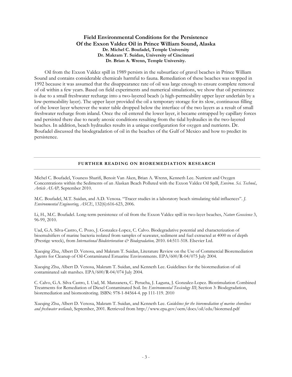# **Field Environmental Conditions for the Persistence Of the Exxon Valdez Oil in Prince William Sound, Alaska Dr. Michel C. Boufadel, Temple University Dr. Makram T. Suidan, University of Cincinnati Dr. Brian A. Wrenn, Temple University.**

Oil from the Exxon Valdez spill in 1989 persists in the subsurface of gravel beaches in Prince William Sound and contains considerable chemicals harmful to fauna. Remediation of these beaches was stopped in 1992 because it was assumed that the disappearance rate of oil was large enough to ensure complete removal of oil within a few years. Based on field experiments and numerical simulations, we show that oil persistence is due to a small freshwater recharge into a two-layered beach (a high-permeability upper layer underlain by a low-permeability layer). The upper layer provided the oil a temporary storage for its slow, continuous filling of the lower layer wherever the water table dropped below the interface of the two layers as a result of small freshwater recharge from inland. Once the oil entered the lower layer, it became entrapped by capillary forces and persisted there due to nearly anoxic conditions resulting from the tidal hydraulics in the two-layered beaches. In addition, beach hydraulics results in a unique configuration for oxygen and nutrients. Dr. Boufadel discussed the biodegradation of oil in the beaches of the Gulf of Mexico and how to predict its persistence.

## **FURTHER READING ON BIOREMEDIATION RESEARCH**

Michel C. Boufadel, Youness Sharifi, Benoit Van Aken, Brian A. Wrenn, Kenneth Lee. Nutrient and Oxygen Concentrations within the Sediments of an Alaskan Beach Polluted with the Exxon Valdez Oil Spill, *Environ. Sci. Technol., Article ASAP,* September 2010.

M.C. Boufadel, M.T. Suidan, and A.D. Venosa. "Tracer studies in a laboratory beach simulating tidal influences". *J. Environmental Engineering, ASCE*, 132(6):616-623, 2006.

Li, H., M.C. Boufadel. Long-term persistence of oil from the Exxon Valdez spill in two-layer beaches, *Nature Geoscience* 3, 96-99, 2010.

Uad, G.A. Silva-Castro, C. Pozo, J. Gonzalez-Lopez, C. Calvo. Biodegradative potential and characterization of bioemulsifiers of marine bacteria isolated from samples of seawater, sediment and fuel extracted at 4000 m of depth (Prestige wreck), from *International Biodeterioration & Biodegradation,* 2010. 64:511-518. Elsevier Ltd.

Xueqing Zhu, Albert D. Venosa, and Makram T. Suidan, Literature Review on the Use of Commercial Bioremediation Agents for Cleanup of Oil-Contaminated Estuarine Environments. EPA/600/R-04/075 July 2004.

Xueqing Zhu, Albert D. Venosa, Makram T. Suidan, and Kenneth Lee. Guidelines for the bioremediation of oil contaminated salt marshes. EPA/600/R-04/074 July 2004.

C. Calvo, G.A. Silva Castro, I. Uad, M. Manzanera, C. Perucha, J. Laguna, J. Gonzalez-Lopez. Biostimulation Combined Treatments for Remediation of Diesel Contaminated Soil. In: *Environmental Toxicology III*; Section 3: Biodegradation, bioremediation and biomonitoring. ISBN: 978-1-84564-4. pp 111-119. 2010

Xueqing Zhu, Albert D. Venosa, Makram T. Suidan, and Kenneth Lee. *Guidelines for the bioremediation of marine shorelines and freshwater wetlands*, September, 2001. Retrieved from http://www.epa.gov/oem/docs/oil/edu/bioremed.pdf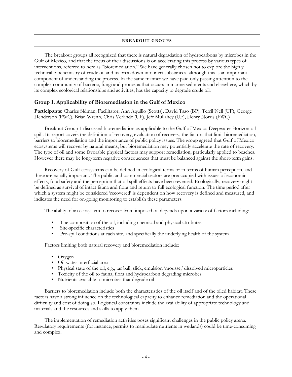## **BREAKOUT GROUPS**

The breakout groups all recognized that there is natural degradation of hydrocarbons by microbes in the Gulf of Mexico, and that the focus of their discussions is on accelerating this process by various types of interventions, referred to here as "bioremediation." We have generally chosen not to explore the highly technical biochemistry of crude oil and its breakdown into inert substances, although this is an important component of understanding the process. In the same manner we have paid only passing attention to the complex community of bacteria, fungi and protozoa that occurs in marine sediments and elsewhere, which by its complex ecological relationships and activities, has the capacity to degrade crude oil.

# **Group 1. Applicability of Bioremediation in the Gulf of Mexico**

**Participants:** Charles Sidman, Facilitator; Ann Aquillo (Scotts), David Tsao (BP), Terril Nell (UF), George Henderson (FWC), Brian Wrenn, Chris Verlinde (UF), Jeff Mullahey (UF), Henry Norris (FWC)

Breakout Group 1 discussed bioremediation as applicable to the Gulf of Mexico Deepwater Horizon oil spill. Its report covers the definition of recovery, evaluation of recovery, the factors that limit bioremediation, barriers to bioremediation and the importance of public policy issues. The group agreed that Gulf of Mexico ecosystems will recover by natural means, but bioremediation may potentially accelerate the rate of recovery. The type of oil and some favorable physical factors may support remediation, particularly applied to beaches. However there may be long-term negative consequences that must be balanced against the short-term gains.

Recovery of Gulf ecosystems can be defined in ecological terms or in terms of human perception, and these are equally important. The public and commercial sectors are preoccupied with issues of economic effects, food safety and the perception that oil spill effects have been reversed. Ecologically, recovery might be defined as survival of intact fauna and flora and return to full ecological function. The time period after which a system might be considered 'recovered' is dependent on how recovery is defined and measured, and indicates the need for on-going monitoring to establish these parameters.

The ability of an ecosystem to recover from imposed oil depends upon a variety of factors including:

- The composition of the oil, including chemical and physical attributes
- Site-specific characteristics
- Pre-spill conditions at each site, and specifically the underlying health of the system

Factors limiting both natural recovery and bioremediation include:

- Oxygen
- Oil-water interfacial area
- Physical state of the oil, e.g., tar ball, slick, emulsion 'mousse,' dissolved microparticles
- Toxicity of the oil to fauna, flora and hydrocarbon degrading microbes
- Nutrients available to microbes that degrade oil

Barriers to bioremediation include both the characteristics of the oil itself and of the oiled habitat. These factors have a strong influence on the technological capacity to enhance remediation and the operational difficulty and cost of doing so. Logistical constraints include the availability of appropriate technology and materials and the resources and skills to apply them.

The implementation of remediation activities poses significant challenges in the public policy arena. Regulatory requirements (for instance, permits to manipulate nutrients in wetlands) could be time-consuming and complex.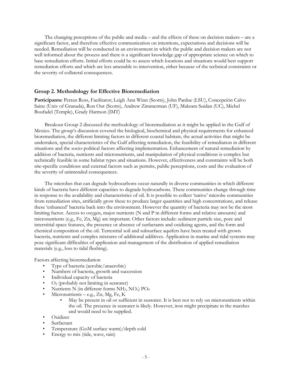The changing perceptions of the public and media – and the effects of these on decision makers – are a significant factor, and therefore effective communication on intentions, expectations and decisions will be needed. Remediation will be conducted in an environment in which the public and decision makers are not well informed about the process and there is a significant knowledge gap of appropriate science on which to base remediation efforts. Initial efforts could be to assess which locations and situations would best support remediation efforts and which are less amenable to intervention, either because of the technical constraints or the severity of collateral consequences.

# **Group 2. Methodology for Effective Bioremediation**

**Participants:** Perran Ross, Facilitator; Leigh Ann Winn (Scotts), John Pardue (LSU), Concepción Calvo Sainz (Univ of Granada), Ron Out (Scotts), Andrew Zimmerman (UF), Makram Suidan (UC), Michel Boufadel (Temple), Grady Harmon (IMT)

Breakout Group 2 discussed the methodology of bioremediation as it might be applied in the Gulf of Mexico. The group's discussion covered the biological, biochemical and physical requirements for enhanced bioremediation, the different limiting factors in different coastal habitats, the actual activities that might be undertaken, special characteristics of the Gulf affecting remediation, the feasibility of remediation in different situations and the socio-political factors affecting implementation. Enhancement of natural remediation by addition of bacteria, nutrients and micronutrients, and manipulation of physical conditions is complex but technically feasible in some habitat types and situations. However, effectiveness and constraints will be both site-specific conditions and external factors such as permits, public perceptions, costs and the evaluation of the severity of unintended consequences.

The microbes that can degrade hydrocarbons occur naturally in diverse communities in which different kinds of bacteria have different capacities to degrade hydrocarbons. These communities change through time in response to the availability and characteristics of oil. It is possible to collect 'native' microbe communities from remediation sites, artificially grow these to produce larger quantities and high concentrations, and release these 'enhanced' bacteria back into the environment. However the quantity of bacteria may not be the most limiting factor. Access to oxygen, major nutrients (N and P in different forms and relative amounts) and micronutrients (e.g., Fe, Zn, Mg) are important. Other factors include: sediment particle size, pore and interstitial space features, the presence or absence of surfactants and oxidizing agents, and the form and chemical composition of the oil. Terrestrial soil and subsurface aquifers have been treated with grown bacteria, nutrients and complex mixtures of additional additives. Application in marine and tidal systems may pose significant difficulties of application and management of the distribution of applied remediation materials (e.g., loss to tidal flushing).

Factors affecting bioremediation

- Type of bacteria (aerobic/anaerobic)
- Numbers of bacteria, growth and succession
- Individual capacity of bacteria
- $O<sub>2</sub>$  (probably not limiting in seawater)
- Nutrients N (in different forms  $NH_3$ ,  $NO_x$ )  $PO_4$
- Micronutrients e.g., Zn, Mg, Fe, K
	- May be present in oil or sufficient in seawater. It is best not to rely on micronutrients within the oil. The presence in seawater is likely. However, iron might precipitate in the marshes and would need to be supplied.
- Oxidizer
- **Surfactant**
- Temperature (GoM surface warm)/depth cold
- Energy to mix (tide, wave, rain)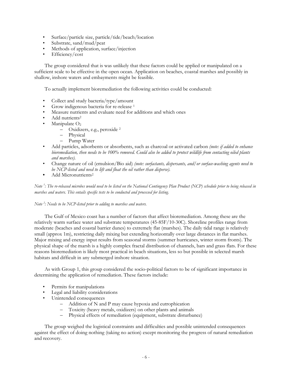- Surface/particle size, particle/tide/beach/location
- Substrate, sand/mud/peat
- Methods of application, surface/injection
- Efficiency/cost

The group considered that is was unlikely that these factors could be applied or manipulated on a sufficient scale to be effective in the open ocean. Application on beaches, coastal marshes and possibly in shallow, inshore waters and embayments might be feasible.

To actually implement bioremediation the following activities could be conducted:

- Collect and study bacteria/type/amount
- Grow indigenous bacteria for re-release <sup>1</sup>
- Measure nutrients and evaluate need for additions and which ones
- Add nutrients<sup>2</sup>
- Manipulate  $O<sub>2</sub>$ 
	- Oxidizers, e.g., peroxide <sup>2</sup>
	- Physical
	- Pump Water
- Add particles, adsorbents or absorbents, such as charcoal or activated carbon *(note: if added to enhance bioremediation, then needs to be 100% removed. Could also be added to protect wildlife from contacting oiled plants and marshes).*
- Change nature of oil (emulsion/Bio aid) *(note: surfactants, dispersants, and/or surface-washing agents need to be NCP-listed and need to lift and float the oil rather than disperse).*
- Add Micronutrients<sup>2</sup>

*Note 1 : The re-released microbes would need to be listed on the National Contingency Plan Product (NCP) schedule prior to being released in marshes and waters. This entails specific tests to be conducted and processed for listing.*

# *Note 2 : Needs to be NCP-listed prior to adding to marshes and waters.*

The Gulf of Mexico coast has a number of factors that affect bioremediation. Among these are the relatively warm surface water and substrate temperatures (45-85F/10-30C). Shoreline profiles range from moderate (beaches and coastal barrier dunes) to extremely flat (marshes). The daily tidal range is relatively small (approx 1m), restricting daily mixing but extending horizontally over large distances in flat marshes. Major mixing and energy input results from seasonal storms (summer hurricanes, winter storm fronts). The physical shape of the marsh is a highly complex fractal distribution of channels, bars and grass flats. For these reasons bioremediation is likely most practical in beach situations, less so but possible in selected marsh habitats and difficult in any submerged inshore situation.

As with Group 1, this group considered the socio-political factors to be of significant importance in determining the application of remediation. These factors include:

- Permits for manipulations
- Legal and liability considerations
- Unintended consequences
	- Addition of N and P may cause hypoxia and eutrophication
	- Toxicity (heavy metals, oxidizers) on other plants and animals
	- Physical effects of remediation (equipment, substrate disturbance)

The group weighed the logistical constraints and difficulties and possible unintended consequences against the effect of doing nothing (taking no action) except monitoring the progress of natural remediation and recovery.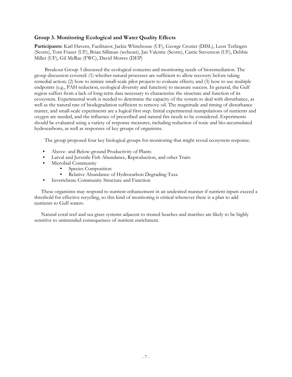# **Group 3. Monitoring Ecological and Water Quality Effects**

**Participants:** Karl Havens, Facilitator; Jackie Whitehouse (UF), George Crozier (DISL), Leon Terlingen (Scotts), Tom Frazer (UF), Brian Silliman (webcast), Jan Valentic (Scotts), Carrie Stevenson (UF), Debbie Miller (UF), Gil McRae (FWC), David Morres (DEP)

Breakout Group 3 discussed the ecological concerns and monitoring needs of bioremediation. The group discussion covered: (1) whether natural processes are sufficient to allow recovery before taking remedial action; (2) how to initiate small-scale pilot projects to evaluate effects; and (3) how to use multiple endpoints (e.g., PAH reduction, ecological diversity and function) to measure success. In general, the Gulf region suffers from a lack of long-term data necessary to characterize the structure and function of its ecosystem. Experimental work is needed to determine the capacity of the system to deal with disturbance, as well as the natural rate of biodegradation sufficient to remove oil. The magnitude and timing of disturbance matter, and small-scale experiments are a logical first step. Initial experimental manipulations of nutrients and oxygen are needed, and the influence of prescribed and natural fire needs to be considered. Experiments should be evaluated using a variety of response measures, including reduction of toxic and bio-accumulated hydrocarbons, as well as responses of key groups of organisms.

The group proposed four key biological groups for monitoring that might reveal ecosystem response.

- Above- and Below-ground Productivity of Plants
- Larval and Juvenile Fish Abundance, Reproduction, and other Traits
- Microbial Community
	- Species Composition<br>• Relative Abundance o
	- Relative Abundance of Hydrocarbon Degrading Taxa
- Invertebrate Community Structure and Function

These organisms may respond to nutrient enhancement in an undesired manner if nutrient inputs exceed a threshold for effective recycling, so this kind of monitoring is critical whenever there is a plan to add nutrients to Gulf waters.

Natural coral reef and sea grass systems adjacent to treated beaches and marshes are likely to be highly sensitive to unintended consequences of nutrient enrichment.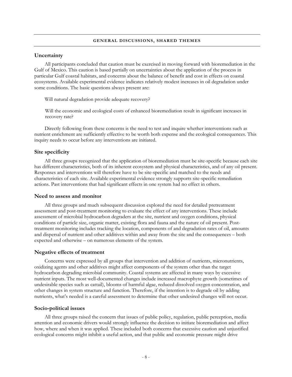#### **GENERAL DISCUSSIONS, SHARED THEMES**

# **Uncertainty**

All participants concluded that caution must be exercised in moving forward with bioremediation in the Gulf of Mexico. This caution is based partially on uncertainties about the application of the process in particular Gulf coastal habitats, and concerns about the balance of benefit and cost in effects on coastal ecosystems. Available experimental evidence indicates relatively modest increases in oil degradation under some conditions. The basic questions always present are:

Will natural degradation provide adequate recovery?

Will the economic and ecological costs of enhanced bioremediation result in significant increases in recovery rate?

Directly following from these concerns is the need to test and inquire whether interventions such as nutrient enrichment are sufficiently effective to be worth both expense and the ecological consequences. This inquiry needs to occur before any interventions are initiated.

# **Site specificity**

All three groups recognized that the application of bioremediation must be site-specific because each site has different characteristics, both of its inherent ecosystem and physical characteristics, and of any oil present. Responses and interventions will therefore have to be site-specific and matched to the needs and characteristics of each site. Available experimental evidence strongly supports site-specific remediation actions. Past interventions that had significant effects in one system had no effect in others.

## **Need to assess and monitor**

All three groups and much subsequent discussion explored the need for detailed pretreatment assessment and post-treatment monitoring to evaluate the effect of any interventions. These include assessment of microbial hydrocarbon degraders at the site, nutrient and oxygen conditions, physical conditions of particle size, organic matter, existing flora and fauna and the nature of oil present. Posttreatment monitoring includes tracking the location, components of and degradation rates of oil, amounts and dispersal of nutrient and other additives within and away from the site and the consequences – both expected and otherwise – on numerous elements of the system.

#### **Negative effects of treatment**

Concerns were expressed by all groups that intervention and addition of nutrients, micronutrients, oxidizing agents and other additives might affect components of the system other than the target hydrocarbon degrading microbial community. Coastal systems are affected in many ways by excessive nutrient inputs. The most well-documented changes include increased macrophyte growth (sometimes of undesirable species such as cattail), blooms of harmful algae, reduced dissolved oxygen concentration, and other changes in system structure and function. Therefore, if the intention is to degrade oil by adding nutrients, what's needed is a careful assessment to determine that other undesired changes will not occur.

#### **Socio-political issues**

All three groups raised the concern that issues of public policy, regulation, public perception, media attention and economic drivers would strongly influence the decision to initiate bioremediation and affect how, where and when it was applied. These included both concerns that excessive caution and unjustified ecological concerns might inhibit a useful action, and that public and economic pressure might drive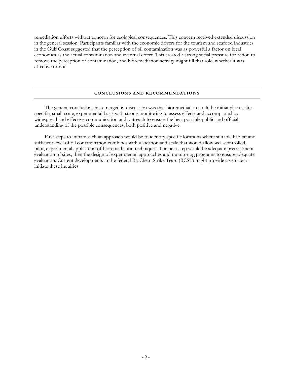remediation efforts without concern for ecological consequences. This concern received extended discussion in the general session. Participants familiar with the economic drivers for the tourism and seafood industries in the Gulf Coast suggested that the perception of oil contamination was as powerful a factor on local economies as the actual contamination and eventual effect. This created a strong social pressure for action to remove the perception of contamination, and bioremediation activity might fill that role, whether it was effective or not.

#### **CONCLUSIONS AND RECOMMENDATIONS**

The general conclusion that emerged in discussion was that bioremediation could be initiated on a sitespecific, small-scale, experimental basis with strong monitoring to assess effects and accompanied by widespread and effective communication and outreach to ensure the best possible public and official understanding of the possible consequences, both positive and negative.

First steps to initiate such an approach would be to identify specific locations where suitable habitat and sufficient level of oil contamination combines with a location and scale that would allow well-controlled, pilot, experimental application of bioremediation techniques. The next step would be adequate pretreatment evaluation of sites, then the design of experimental approaches and monitoring programs to ensure adequate evaluation. Current developments in the federal BioChem Strike Team (BCST) might provide a vehicle to initiate these inquiries.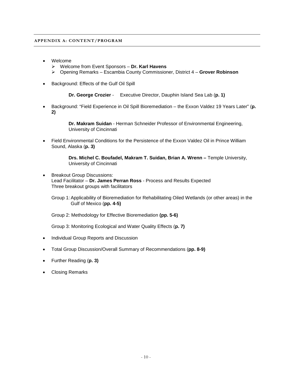# **APPENDIX A: CONTENT/PROGRAM**

- Welcome
	- Welcome from Event Sponsors **Dr. Karl Havens**
	- Opening Remarks Escambia County Commissioner, District 4 **Grover Robinson**
- Background: Effects of the Gulf Oil Spill

**Dr. George Crozier** - Executive Director, Dauphin Island Sea Lab (**p. 1)**

• Background: "Field Experience in Oil Spill Bioremediation – the Exxon Valdez 19 Years Later" (**p. 2)**

> **Dr. Makram Suidan** - Herman Schneider Professor of Environmental Engineering, University of Cincinnati

• Field Environmental Conditions for the Persistence of the Exxon Valdez Oil in Prince William Sound, Alaska (**p. 3)**

> **Drs. Michel C. Boufadel, Makram T. Suidan, Brian A. Wrenn –** Temple University, University of Cincinnati

• Breakout Group Discussions: Lead Facilitator – **Dr. James Perran Ross** - Process and Results Expected Three breakout groups with facilitators

Group 1: Applicability of Bioremediation for Rehabilitating Oiled Wetlands (or other areas) in the Gulf of Mexico (**pp. 4-5)**

Group 2: Methodology for Effective Bioremediation **(pp. 5-6)**

Group 3: Monitoring Ecological and Water Quality Effects (**p. 7)**

- Individual Group Reports and Discussion
- Total Group Discussion/Overall Summary of Recommendations (**pp. 8-9)**
- Further Reading (**p. 3)**
- Closing Remarks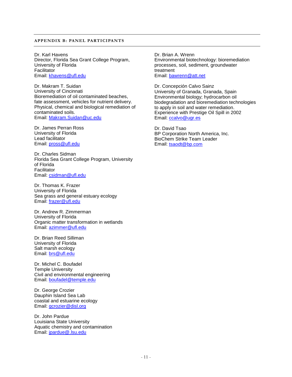#### **APPENDIX B: PANEL PARTICIPANTS**

Dr. Karl Havens Director, Florida Sea Grant College Program, University of Florida Facilitator Email: [khavens@ufl.edu](mailto:khavens@ufl.edu)

Dr. Makram T. Suidan University of Cincinnati Bioremediation of oil contaminated beaches, fate assessment, vehicles for nutrient delivery. Physical, chemical and biological remediation of contaminated soils. Email: [Makram.Suidan@uc.edu](mailto:Makram.Suidan@uc.edu)

Dr. James Perran Ross University of Florida Lead facilitator Email: [pross@ufl.edu](mailto:pross@ufl.edu)

Dr. Charles Sidman Florida Sea Grant College Program, University of Florida **Facilitator** Email: [csidman@ufl.edu](mailto:csidman@ufl.edu)

Dr. Thomas K. Frazer University of Florida Sea grass and general estuary ecology Email: [frazer@ufl.edu](mailto:frazer@ufl.edu)

Dr. Andrew R. Zimmerman University of Florida Organic matter transformation in wetlands Email: [azimmer@ufl.edu](mailto:azimmer@ufl.edu)

Dr. Brian Reed Silliman University of Florida Salt marsh ecology Email: [brs@ufl.edu](mailto:brs@ufl.edu)

Dr. Michel C. Boufadel Temple University Civil and environmental engineering Email: [boufadel@temple.edu](mailto:boufadel@temple.edu)

Dr. George Crozier Dauphin Island Sea Lab coastal and estuarine ecology Email: [gcrozier@disl.org](mailto:gcrozier@disl.org)

Dr. John Pardue Louisiana State University Aquatic chemistry and contamination Email: [jpardue@.lsu.edu](http://www.camd.lsu.edu/lmet/speakers/jpardue@.lsu.edu)

Dr. Brian A. Wrenn Environmental biotechnology: bioremediation processes, soil, sediment, groundwater treatment Email: [bawrenn@att.net](mailto:bawrenn@att.net)

Dr. Concepción Calvo Sainz University of Granada, Granada, Spain Environmental biology; hydrocarbon oil biodegradation and bioremediation technologies to apply in soil and water remediation. Experience with Prestige Oil Spill in 2002 Email: [ccalvo@ugr.es](mailto:ccalvo@ugr.es)

Dr. David Tsao BP Corporation North America, Inc. BioChem Strike Team Leader Email: [tsaodt@bp.com](mailto:tsaodt@bp.com)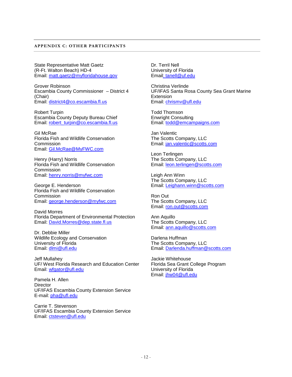#### **APPENDIX C: OTHER PARTICIPANTS**

State Representative Matt Gaetz (R-Ft. Walton Beach) HD-4 Email: [matt.gaetz@myfloridahouse.gov](mailto:matt.gaetz@myfloridahouse.gov)

Grover Robinson Escambia County Commissioner – District 4 (Chair) Email: [district4@co.escambia.fl.us](mailto:district4@co.escambia.fl.us)

Robert Turpin Escambia County Deputy Bureau Chief Email: [robert\\_turpin@co.escambia.fl.us](mailto:robert_turpin@co.escambia.fl.us)

Gil McRae Florida Fish and Wildlife Conservation Commission Email: [Gil.McRae@MyFWC.com](mailto:Gil.McRae@MyFWC.com)

Henry (Harry) Norris Florida Fish and Wildlife Conservation **Commission** Email: [henry.norris@myfwc.com](mailto:henry.norris@myfwc.com)

George E. Henderson Florida Fish and Wildlife Conservation **Commission** Email: [george.henderson@myfwc.com](mailto:george.henderson@myfwc.com)

David Morres Florida Department of Environmental Protection Email: [David.Morres@dep.state.fl.us](mailto:David.Morres@dep.state.fl.us)

Dr. Debbie Miller Wildlife Ecology and Conservation University of Florida Email: [dlmi@ufl.edu](mailto:dlmi@ufl.edu)

Jeff Mullahey UF/ West Florida Research and Education Center Email: [wfgator@ufl.edu](mailto:wfgator@ufl.edu)

Pamela H. Allen **Director** UF/IFAS Escambia County Extension Service E-mail: [pha@ufl.edu](mailto:pha@ufl.edu)

Carrie T. Stevenson UF/IFAS Escambia County Extension Service Email: [ctsteven@ufl.edu](mailto:ctsteven@ufl.edu)

Dr. Terril Nell University of Florida Email: tanell@uf.edu

Christina Verlinde UF/IFAS Santa Rosa County Sea Grant Marine **Extension** Email: [chrismv@ufl.edu](mailto:chrismv@ufl.edu)

Todd Thomson Enwright Consulting Email: [todd@emcampaigns.com](mailto:todd@emcampaigns.com)

Jan Valentic The Scotts Company, LLC Email: [jan.valentic@scotts.com](mailto:jan.valentic@scotts.com)

Leon Terlingen The Scotts Company, LLC Email: [leon.terlingen@scotts.com](mailto:leon.terlingen@scotts.com)

Leigh Ann Winn The Scotts Company, LLC Email: [Leighann.winn@scotts.com](mailto:Leighann.winn@scotts.com)

Ron Out The Scotts Company, LLC Email: [ron.out@scotts.com](mailto:ron.out@scotts.com)

Ann Aquillo The Scotts Company, LLC Email: [ann.aquillo@scotts.com](mailto:ann.aquillo@scotts.com)

Darlena Huffman The Scotts Company, LLC Email: [Darlenda.huffman@scotts.com](mailto:Darlenda.huffman@scotts.com)

Jackie Whitehouse Florida Sea Grant College Program University of Florida Email: [jhw04@ufl.edu](mailto:jhw04@ufl.edu)